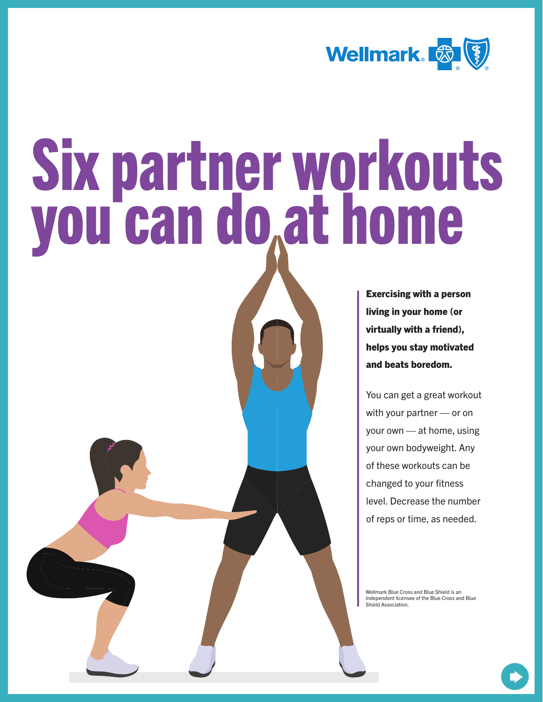

# Six partner workouts you can do at home

Exercising with a person living in your home (or virtually with a friend), helps you stay motivated and beats boredom.

You can get a great workout with your partner — or on your own — at home, using your own bodyweight. Any of these workouts can be changed to your fitness level. Decrease the number of reps or time, as needed.

Wellmark Blue Cross and Blue Shield is an independent licensee of the Blue Cross and Blue Shield Association.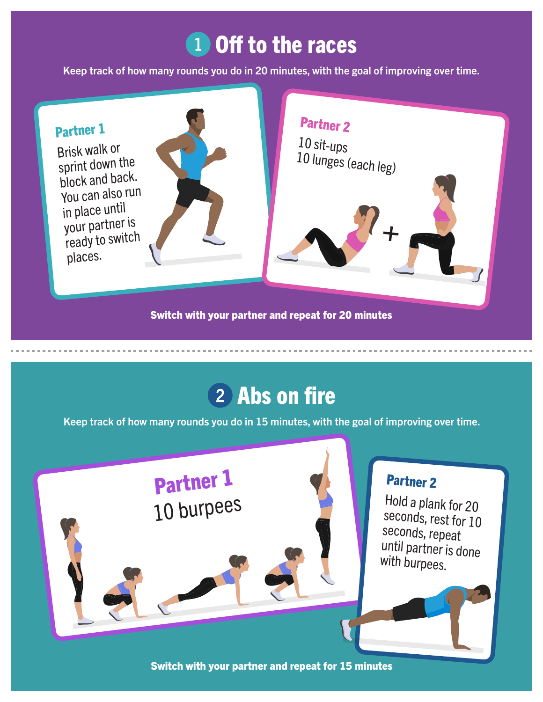## 1 Off to the races

Keep track of how many rounds you do in 20 minutes, with the goal of improving over time.



#### 2 Abs on fire

Keep track of how many rounds you do in 15 minutes, with the goal of improving over time.



Switch with your partner and repeat for 15 minutes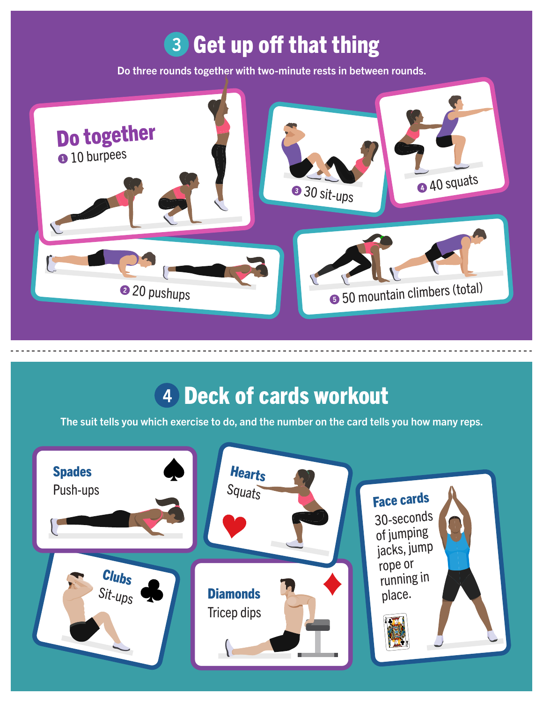## **3 Get up off that thing**

Do three rounds together with two-minute rests in between rounds.



#### Deck of cards workout

The suit tells you which exercise to do, and the number on the card tells you how many reps.